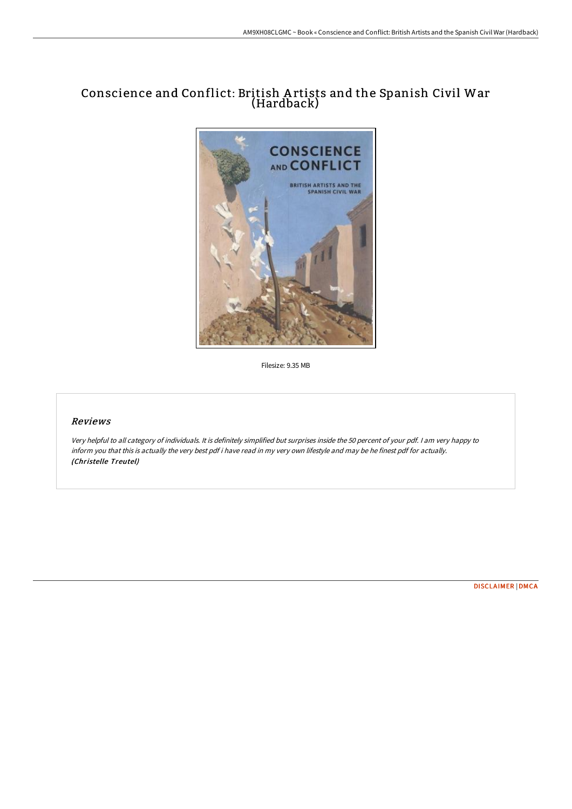# Conscience and Conflict: British A rtists and the Spanish Civil War (Hardback)



Filesize: 9.35 MB

## Reviews

Very helpful to all category of individuals. It is definitely simplified but surprises inside the <sup>50</sup> percent of your pdf. <sup>I</sup> am very happy to inform you that this is actually the very best pdf i have read in my very own lifestyle and may be he finest pdf for actually. (Christelle Treutel)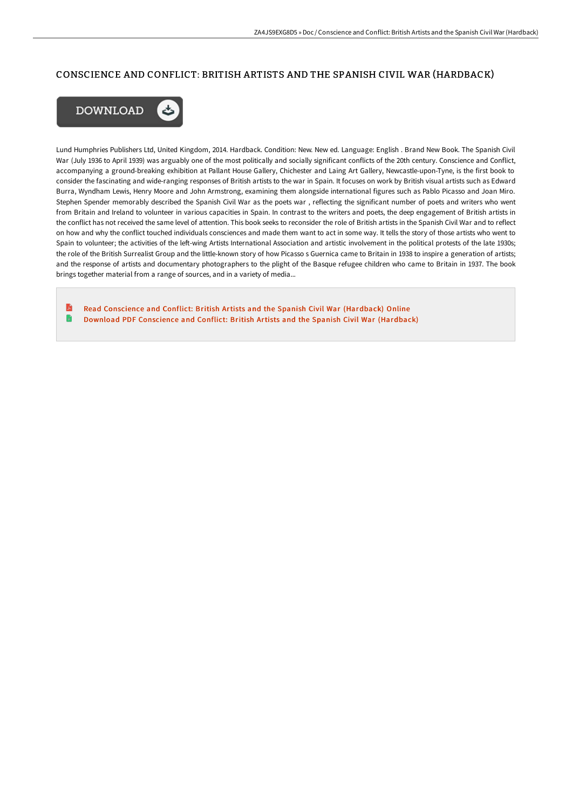#### CONSCIENCE AND CONFLICT: BRITISH ARTISTS AND THE SPANISH CIVIL WAR (HARDBACK)



Lund Humphries Publishers Ltd, United Kingdom, 2014. Hardback. Condition: New. New ed. Language: English . Brand New Book. The Spanish Civil War (July 1936 to April 1939) was arguably one of the most politically and socially significant conflicts of the 20th century. Conscience and Conflict, accompanying a ground-breaking exhibition at Pallant House Gallery, Chichester and Laing Art Gallery, Newcastle-upon-Tyne, is the first book to consider the fascinating and wide-ranging responses of British artists to the war in Spain. It focuses on work by British visual artists such as Edward Burra, Wyndham Lewis, Henry Moore and John Armstrong, examining them alongside international figures such as Pablo Picasso and Joan Miro. Stephen Spender memorably described the Spanish Civil War as the poets war , reflecting the significant number of poets and writers who went from Britain and Ireland to volunteer in various capacities in Spain. In contrast to the writers and poets, the deep engagement of British artists in the conflict has not received the same level of attention. This book seeks to reconsider the role of British artists in the Spanish Civil War and to reflect on how and why the conflict touched individuals consciences and made them want to act in some way. It tells the story of those artists who went to Spain to volunteer; the activities of the left-wing Artists International Association and artistic involvement in the political protests of the late 1930s; the role of the British Surrealist Group and the little-known story of how Picasso s Guernica came to Britain in 1938 to inspire a generation of artists; and the response of artists and documentary photographers to the plight of the Basque refugee children who came to Britain in 1937. The book brings together material from a range of sources, and in a variety of media...

B Read Conscience and Conflict: British Artists and the Spanish Civil War [\(Hardback\)](http://albedo.media/conscience-and-conflict-british-artists-and-the-.html) Online G Download PDF Conscience and Conflict: British Artists and the Spanish Civil War [\(Hardback\)](http://albedo.media/conscience-and-conflict-british-artists-and-the-.html)